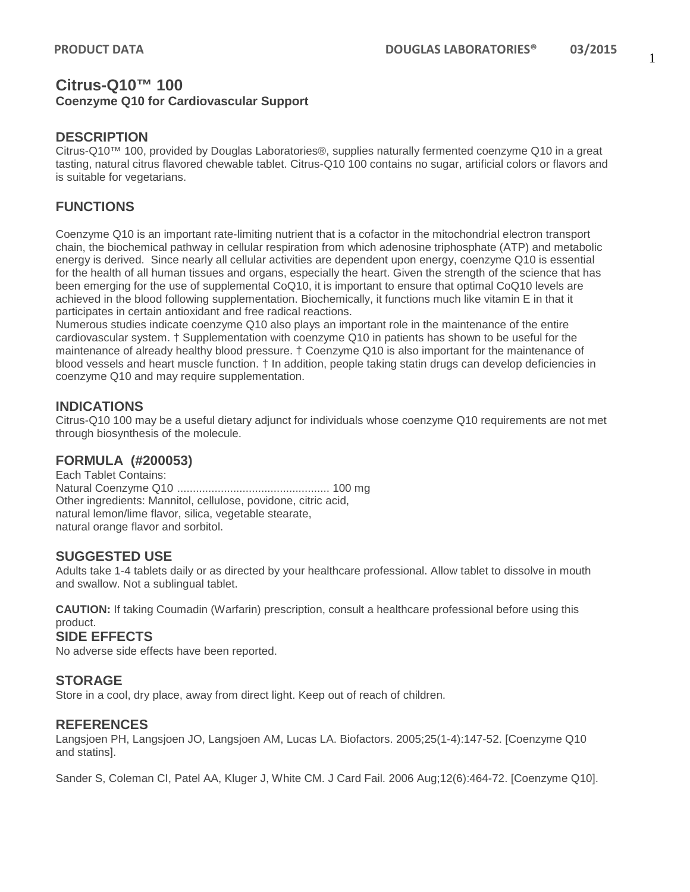## **Citrus-Q10™ 100 Coenzyme Q10 for Cardiovascular Support**

#### **DESCRIPTION**

Citrus-Q10™ 100, provided by Douglas Laboratories®, supplies naturally fermented coenzyme Q10 in a great tasting, natural citrus flavored chewable tablet. Citrus-Q10 100 contains no sugar, artificial colors or flavors and is suitable for vegetarians.

## **FUNCTIONS**

Coenzyme Q10 is an important rate-limiting nutrient that is a cofactor in the mitochondrial electron transport chain, the biochemical pathway in cellular respiration from which adenosine triphosphate (ATP) and metabolic energy is derived. Since nearly all cellular activities are dependent upon energy, coenzyme Q10 is essential for the health of all human tissues and organs, especially the heart. Given the strength of the science that has been emerging for the use of supplemental CoQ10, it is important to ensure that optimal CoQ10 levels are achieved in the blood following supplementation. Biochemically, it functions much like vitamin E in that it participates in certain antioxidant and free radical reactions.

Numerous studies indicate coenzyme Q10 also plays an important role in the maintenance of the entire cardiovascular system. † Supplementation with coenzyme Q10 in patients has shown to be useful for the maintenance of already healthy blood pressure. † Coenzyme Q10 is also important for the maintenance of blood vessels and heart muscle function. † In addition, people taking statin drugs can develop deficiencies in coenzyme Q10 and may require supplementation.

### **INDICATIONS**

Citrus-Q10 100 may be a useful dietary adjunct for individuals whose coenzyme Q10 requirements are not met through biosynthesis of the molecule.

### **FORMULA (#200053)**

Each Tablet Contains: Natural Coenzyme Q10 ................................................. 100 mg Other ingredients: Mannitol, cellulose, povidone, citric acid, natural lemon/lime flavor, silica, vegetable stearate, natural orange flavor and sorbitol.

### **SUGGESTED USE**

Adults take 1-4 tablets daily or as directed by your healthcare professional. Allow tablet to dissolve in mouth and swallow. Not a sublingual tablet.

**CAUTION:** If taking Coumadin (Warfarin) prescription, consult a healthcare professional before using this product.

### **SIDE EFFECTS**

No adverse side effects have been reported.

### **STORAGE**

Store in a cool, dry place, away from direct light. Keep out of reach of children.

#### **REFERENCES**

Langsjoen PH, Langsjoen JO, Langsjoen AM, Lucas LA. Biofactors. 2005;25(1-4):147-52. [Coenzyme Q10 and statins].

Sander S, Coleman CI, Patel AA, Kluger J, White CM. J Card Fail. 2006 Aug;12(6):464-72. [Coenzyme Q10].